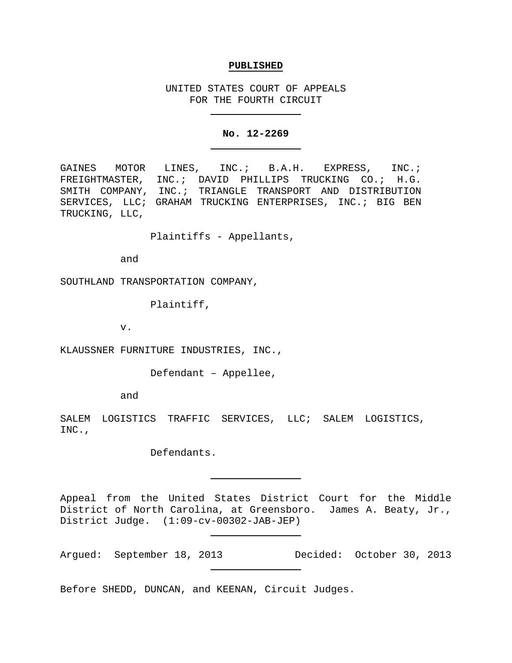#### **PUBLISHED**

UNITED STATES COURT OF APPEALS FOR THE FOURTH CIRCUIT

# **No. 12-2269**

GAINES MOTOR LINES, INC.; B.A.H. EXPRESS, INC.; FREIGHTMASTER, INC.; DAVID PHILLIPS TRUCKING CO.; H.G. SMITH COMPANY, INC.; TRIANGLE TRANSPORT AND DISTRIBUTION SERVICES, LLC; GRAHAM TRUCKING ENTERPRISES, INC.; BIG BEN TRUCKING, LLC,

Plaintiffs - Appellants,

and

SOUTHLAND TRANSPORTATION COMPANY,

Plaintiff,

v.

KLAUSSNER FURNITURE INDUSTRIES, INC.,

Defendant – Appellee,

and

SALEM LOGISTICS TRAFFIC SERVICES, LLC; SALEM LOGISTICS, INC.,

Defendants.

Appeal from the United States District Court for the Middle District of North Carolina, at Greensboro. James A. Beaty, Jr., District Judge. (1:09-cv-00302-JAB-JEP)

Argued: September 18, 2013 Decided: October 30, 2013

Before SHEDD, DUNCAN, and KEENAN, Circuit Judges.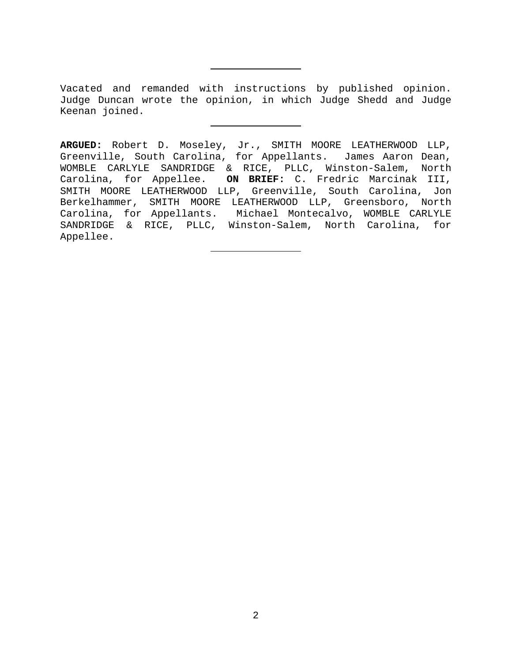Vacated and remanded with instructions by published opinion. Judge Duncan wrote the opinion, in which Judge Shedd and Judge Keenan joined.

**ARGUED:** Robert D. Moseley, Jr., SMITH MOORE LEATHERWOOD LLP, Greenville, South Carolina, for Appellants. James Aaron Dean, WOMBLE CARLYLE SANDRIDGE & RICE, PLLC, Winston-Salem, North Carolina, for Appellee. **ON BRIEF:** C. Fredric Marcinak III, SMITH MOORE LEATHERWOOD LLP, Greenville, South Carolina, Jon Berkelhammer, SMITH MOORE LEATHERWOOD LLP, Greensboro, North Carolina, for Appellants. Michael Montecalvo, WOMBLE CARLYLE SANDRIDGE & RICE, PLLC, Winston-Salem, North Carolina, for Appellee.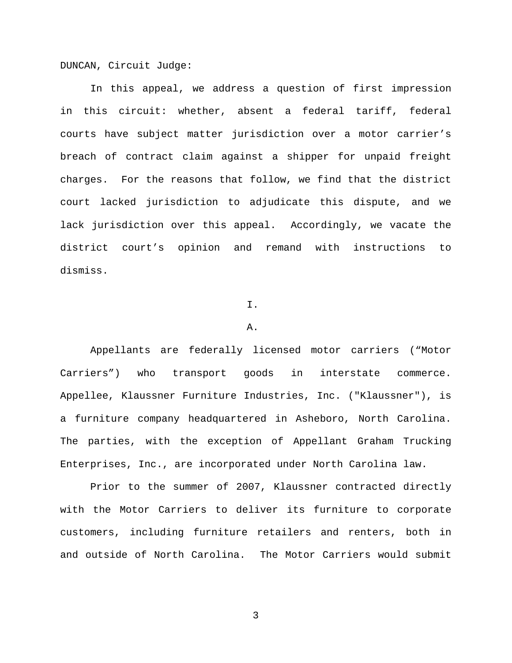DUNCAN, Circuit Judge:

In this appeal, we address a question of first impression in this circuit: whether, absent a federal tariff, federal courts have subject matter jurisdiction over a motor carrier's breach of contract claim against a shipper for unpaid freight charges. For the reasons that follow, we find that the district court lacked jurisdiction to adjudicate this dispute, and we lack jurisdiction over this appeal. Accordingly, we vacate the district court's opinion and remand with instructions to dismiss.

### I.

### A.

Appellants are federally licensed motor carriers ("Motor Carriers") who transport goods in interstate commerce. Appellee, Klaussner Furniture Industries, Inc. ("Klaussner"), is a furniture company headquartered in Asheboro, North Carolina. The parties, with the exception of Appellant Graham Trucking Enterprises, Inc., are incorporated under North Carolina law.

Prior to the summer of 2007, Klaussner contracted directly with the Motor Carriers to deliver its furniture to corporate customers, including furniture retailers and renters, both in and outside of North Carolina. The Motor Carriers would submit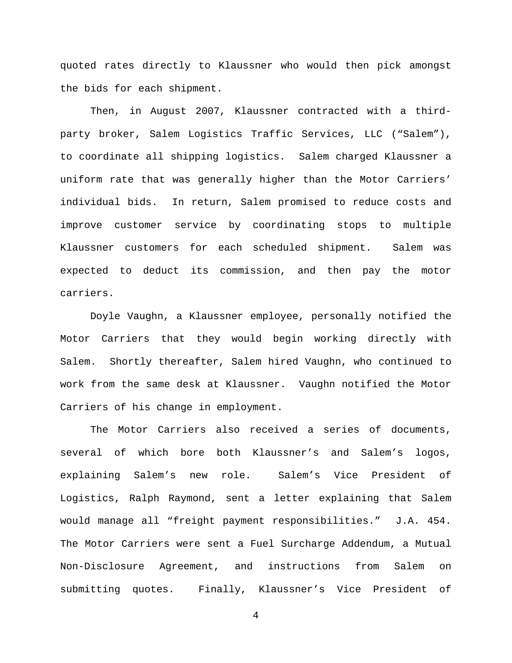quoted rates directly to Klaussner who would then pick amongst the bids for each shipment.

Then, in August 2007, Klaussner contracted with a thirdparty broker, Salem Logistics Traffic Services, LLC ("Salem"), to coordinate all shipping logistics. Salem charged Klaussner a uniform rate that was generally higher than the Motor Carriers' individual bids. In return, Salem promised to reduce costs and improve customer service by coordinating stops to multiple Klaussner customers for each scheduled shipment. Salem was expected to deduct its commission, and then pay the motor carriers.

Doyle Vaughn, a Klaussner employee, personally notified the Motor Carriers that they would begin working directly with Salem. Shortly thereafter, Salem hired Vaughn, who continued to work from the same desk at Klaussner. Vaughn notified the Motor Carriers of his change in employment.

The Motor Carriers also received a series of documents, several of which bore both Klaussner's and Salem's logos, explaining Salem's new role. Salem's Vice President of Logistics, Ralph Raymond, sent a letter explaining that Salem would manage all "freight payment responsibilities." J.A. 454. The Motor Carriers were sent a Fuel Surcharge Addendum, a Mutual Non-Disclosure Agreement, and instructions from Salem on submitting quotes. Finally, Klaussner's Vice President of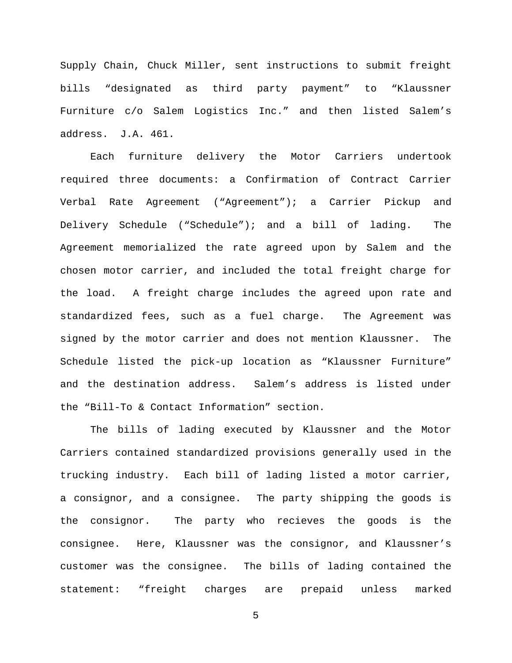Supply Chain, Chuck Miller, sent instructions to submit freight bills "designated as third party payment" to "Klaussner Furniture c/o Salem Logistics Inc." and then listed Salem's address. J.A. 461.

Each furniture delivery the Motor Carriers undertook required three documents: a Confirmation of Contract Carrier Verbal Rate Agreement ("Agreement"); a Carrier Pickup and Delivery Schedule ("Schedule"); and a bill of lading. The Agreement memorialized the rate agreed upon by Salem and the chosen motor carrier, and included the total freight charge for the load. A freight charge includes the agreed upon rate and standardized fees, such as a fuel charge. The Agreement was signed by the motor carrier and does not mention Klaussner. The Schedule listed the pick-up location as "Klaussner Furniture" and the destination address. Salem's address is listed under the "Bill-To & Contact Information" section.

The bills of lading executed by Klaussner and the Motor Carriers contained standardized provisions generally used in the trucking industry. Each bill of lading listed a motor carrier, a consignor, and a consignee. The party shipping the goods is the consignor. The party who recieves the goods is the consignee. Here, Klaussner was the consignor, and Klaussner's customer was the consignee. The bills of lading contained the statement: "freight charges are prepaid unless marked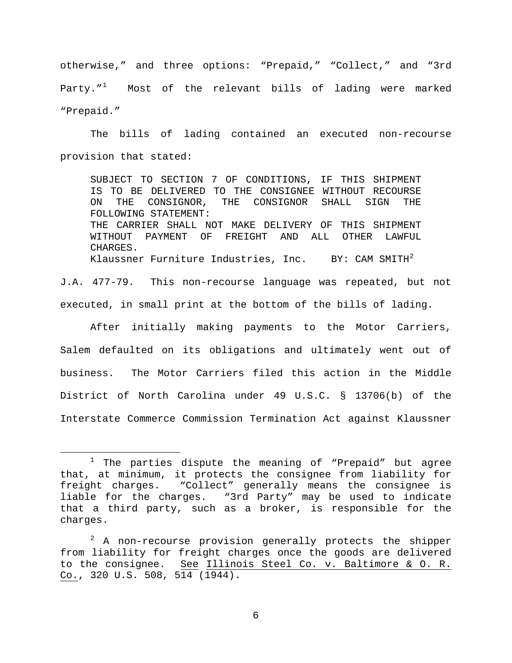otherwise," and three options: "Prepaid," "Collect," and "3rd Party."<sup>[1](#page-5-0)</sup> Most of the relevant bills of lading were marked "Prepaid."

The bills of lading contained an executed non-recourse provision that stated:

SUBJECT TO SECTION 7 OF CONDITIONS, IF THIS SHIPMENT IS TO BE DELIVERED TO THE CONSIGNEE WITHOUT RECOURSE<br>ON THE CONSIGNOR, THE CONSIGNOR SHALL SIGN THE ON THE CONSIGNOR, THE CONSIGNOR SHALL SIGN THE FOLLOWING STATEMENT: THE CARRIER SHALL NOT MAKE DELIVERY OF THIS SHIPMENT WITHOUT PAYMENT OF FREIGHT AND ALL OTHER LAWFUL CHARGES. Klaussner Furniture Industries, Inc. BY: CAM SMITH<sup>[2](#page-5-1)</sup>

J.A. 477-79. This non-recourse language was repeated, but not executed, in small print at the bottom of the bills of lading.

After initially making payments to the Motor Carriers, Salem defaulted on its obligations and ultimately went out of business. The Motor Carriers filed this action in the Middle District of North Carolina under 49 U.S.C. § 13706(b) of the Interstate Commerce Commission Termination Act against Klaussner

<span id="page-5-0"></span> $1$  The parties dispute the meaning of "Prepaid" but agree that, at minimum, it protects the consignee from liability for freight charges. "Collect" generally means the consignee is liable for the charges. "3rd Party" may be used to indicate that a third party, such as a broker, is responsible for the charges.

<span id="page-5-1"></span> $2$  A non-recourse provision generally protects the shipper from liability for freight charges once the goods are delivered to the consignee. See Illinois Steel Co. v. Baltimore & O. R. Co., 320 U.S. 508,  $5\overline{14}$  ( $\overline{1944}$ ).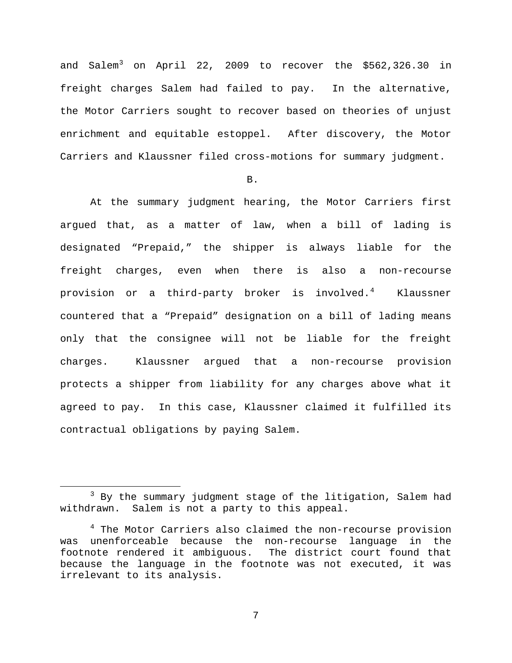and Salem<sup>[3](#page-6-0)</sup> on April 22, 2009 to recover the \$562,326.30 in freight charges Salem had failed to pay. In the alternative, the Motor Carriers sought to recover based on theories of unjust enrichment and equitable estoppel. After discovery, the Motor Carriers and Klaussner filed cross-motions for summary judgment.

B.

At the summary judgment hearing, the Motor Carriers first argued that, as a matter of law, when a bill of lading is designated "Prepaid," the shipper is always liable for the freight charges, even when there is also a non-recourse provision or a third-party broker is involved.<sup>[4](#page-6-1)</sup> Klaussner countered that a "Prepaid" designation on a bill of lading means only that the consignee will not be liable for the freight charges. Klaussner argued that a non-recourse provision protects a shipper from liability for any charges above what it agreed to pay. In this case, Klaussner claimed it fulfilled its contractual obligations by paying Salem.

<span id="page-6-0"></span><sup>&</sup>lt;sup>3</sup> By the summary judgment stage of the litigation, Salem had withdrawn. Salem is not a party to this appeal.

<span id="page-6-1"></span><sup>&</sup>lt;sup>4</sup> The Motor Carriers also claimed the non-recourse provision was unenforceable because the non-recourse language in the footnote rendered it ambiguous. The district court found that because the language in the footnote was not executed, it was irrelevant to its analysis.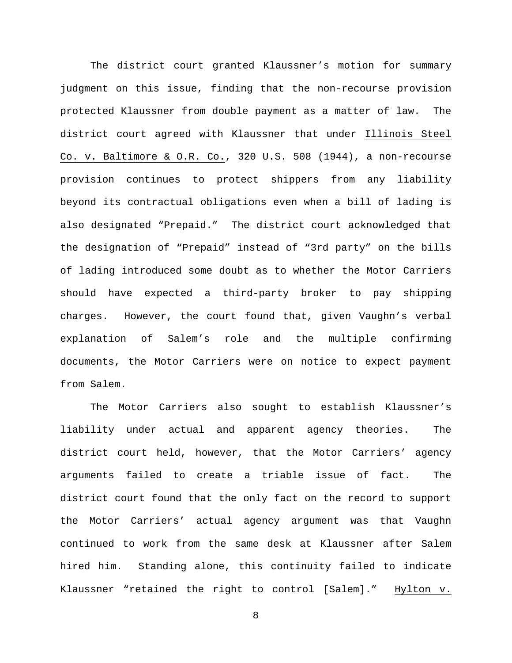The district court granted Klaussner's motion for summary judgment on this issue, finding that the non-recourse provision protected Klaussner from double payment as a matter of law. The district court agreed with Klaussner that under Illinois Steel Co. v. Baltimore & O.R. Co., 320 U.S. 508 (1944), a non-recourse provision continues to protect shippers from any liability beyond its contractual obligations even when a bill of lading is also designated "Prepaid." The district court acknowledged that the designation of "Prepaid" instead of "3rd party" on the bills of lading introduced some doubt as to whether the Motor Carriers should have expected a third-party broker to pay shipping charges. However, the court found that, given Vaughn's verbal explanation of Salem's role and the multiple confirming documents, the Motor Carriers were on notice to expect payment from Salem.

The Motor Carriers also sought to establish Klaussner's liability under actual and apparent agency theories. The district court held, however, that the Motor Carriers' agency arguments failed to create a triable issue of fact. The district court found that the only fact on the record to support the Motor Carriers' actual agency argument was that Vaughn continued to work from the same desk at Klaussner after Salem hired him. Standing alone, this continuity failed to indicate Klaussner "retained the right to control [Salem]." Hylton v.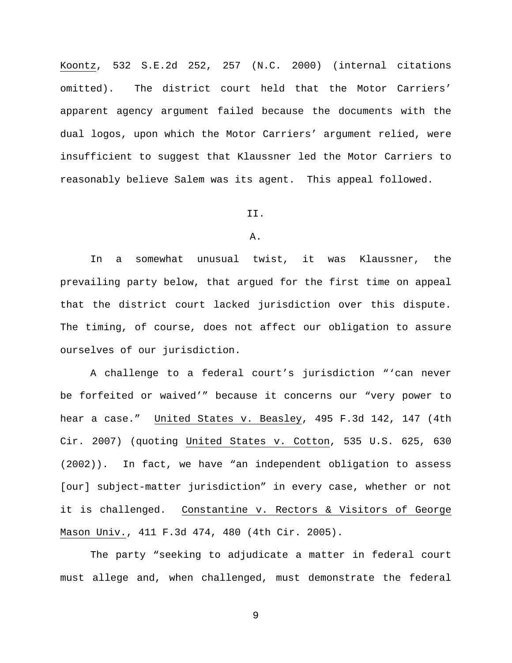Koontz, 532 S.E.2d 252, 257 (N.C. 2000) (internal citations omitted). The district court held that the Motor Carriers' apparent agency argument failed because the documents with the dual logos, upon which the Motor Carriers' argument relied, were insufficient to suggest that Klaussner led the Motor Carriers to reasonably believe Salem was its agent. This appeal followed.

#### II.

# A.

In a somewhat unusual twist, it was Klaussner, the prevailing party below, that argued for the first time on appeal that the district court lacked jurisdiction over this dispute. The timing, of course, does not affect our obligation to assure ourselves of our jurisdiction.

A challenge to a federal court's jurisdiction "'can never be forfeited or waived'" because it concerns our "very power to hear a case." United States v. Beasley, 495 F.3d 142, 147 (4th Cir. 2007) (quoting United States v. Cotton, 535 U.S. 625, 630 (2002)). In fact, we have "an independent obligation to assess [our] subject-matter jurisdiction" in every case, whether or not it is challenged. Constantine v. Rectors & Visitors of George Mason Univ., 411 F.3d 474, 480 (4th Cir. 2005).

The party "seeking to adjudicate a matter in federal court must allege and, when challenged, must demonstrate the federal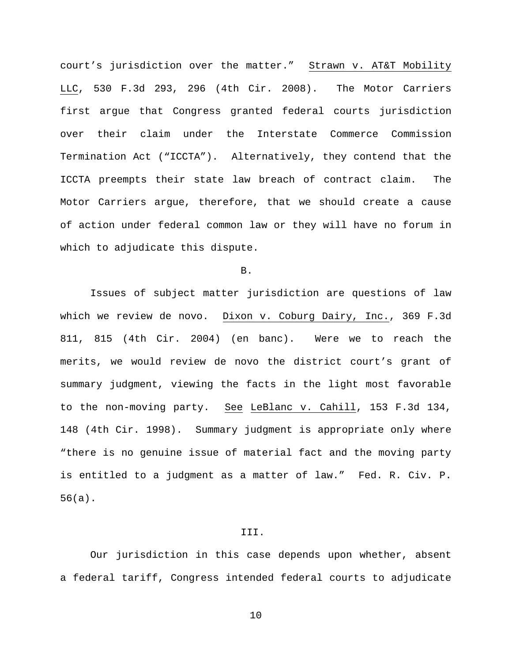court's jurisdiction over the matter." Strawn v. AT&T Mobility LLC, 530 F.3d 293, 296 (4th Cir. 2008). The Motor Carriers first argue that Congress granted federal courts jurisdiction over their claim under the Interstate Commerce Commission Termination Act ("ICCTA"). Alternatively, they contend that the ICCTA preempts their state law breach of contract claim. The Motor Carriers argue, therefore, that we should create a cause of action under federal common law or they will have no forum in which to adjudicate this dispute.

B.

Issues of subject matter jurisdiction are questions of law which we review de novo. Dixon v. Coburg Dairy, Inc., 369 F.3d 811, 815 (4th Cir. 2004) (en banc). Were we to reach the merits, we would review de novo the district court's grant of summary judgment, viewing the facts in the light most favorable to the non-moving party. See LeBlanc v. Cahill, 153 F.3d 134, 148 (4th Cir. 1998). Summary judgment is appropriate only where "there is no genuine issue of material fact and the moving party is entitled to a judgment as a matter of law." Fed. R. Civ. P. 56(a).

#### III.

Our jurisdiction in this case depends upon whether, absent a federal tariff, Congress intended federal courts to adjudicate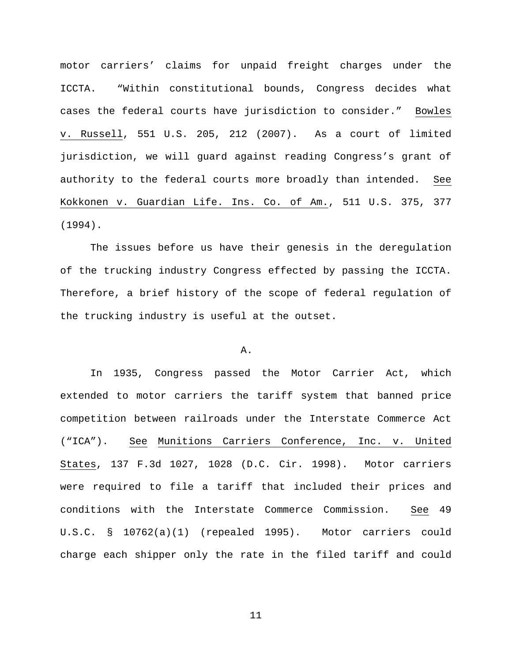motor carriers' claims for unpaid freight charges under the ICCTA. "Within constitutional bounds, Congress decides what cases the federal courts have jurisdiction to consider." Bowles v. Russell, 551 U.S. 205, 212 (2007). As a court of limited jurisdiction, we will guard against reading Congress's grant of authority to the federal courts more broadly than intended. See Kokkonen v. Guardian Life. Ins. Co. of Am., 511 U.S. 375, 377 (1994).

The issues before us have their genesis in the deregulation of the trucking industry Congress effected by passing the ICCTA. Therefore, a brief history of the scope of federal regulation of the trucking industry is useful at the outset.

### A.

In 1935, Congress passed the Motor Carrier Act, which extended to motor carriers the tariff system that banned price competition between railroads under the Interstate Commerce Act ("ICA"). See Munitions Carriers Conference, Inc. v. United States, 137 F.3d 1027, 1028 (D.C. Cir. 1998). Motor carriers were required to file a tariff that included their prices and conditions with the Interstate Commerce Commission. See 49 U.S.C. § 10762(a)(1) (repealed 1995). Motor carriers could charge each shipper only the rate in the filed tariff and could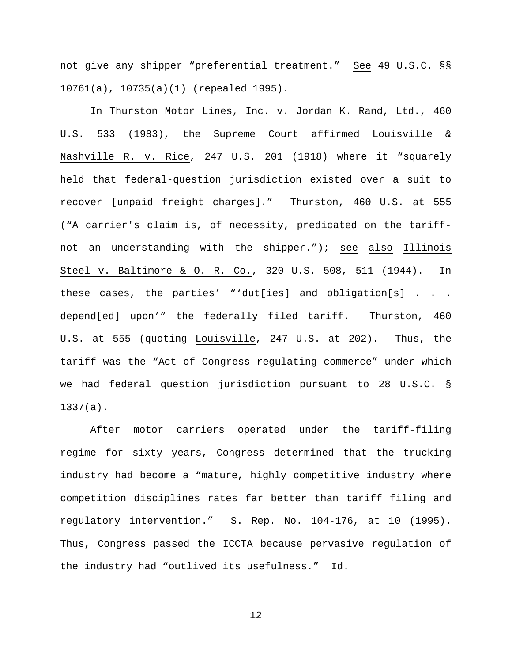not give any shipper "preferential treatment." See 49 U.S.C. §§ 10761(a), 10735(a)(1) (repealed 1995).

In Thurston Motor Lines, Inc. v. Jordan K. Rand, Ltd., 460 U.S. 533 (1983), the Supreme Court affirmed Louisville & Nashville R. v. Rice, 247 U.S. 201 (1918) where it "squarely held that federal-question jurisdiction existed over a suit to recover [unpaid freight charges]." Thurston, 460 U.S. at 555 ("A carrier's claim is, of necessity, predicated on the tariffnot an understanding with the shipper."); see also Illinois Steel v. Baltimore & O. R. Co., 320 U.S. 508, 511 (1944). In these cases, the parties' "'dut[ies] and obligation[s] . . . depend[ed] upon'" the federally filed tariff. Thurston, 460 U.S. at 555 (quoting Louisville, 247 U.S. at 202). Thus, the tariff was the "Act of Congress regulating commerce" under which we had federal question jurisdiction pursuant to 28 U.S.C. § 1337(a).

After motor carriers operated under the tariff-filing regime for sixty years, Congress determined that the trucking industry had become a "mature, highly competitive industry where competition disciplines rates far better than tariff filing and regulatory intervention." S. Rep. No. 104-176, at 10 (1995). Thus, Congress passed the ICCTA because pervasive regulation of the industry had "outlived its usefulness." Id.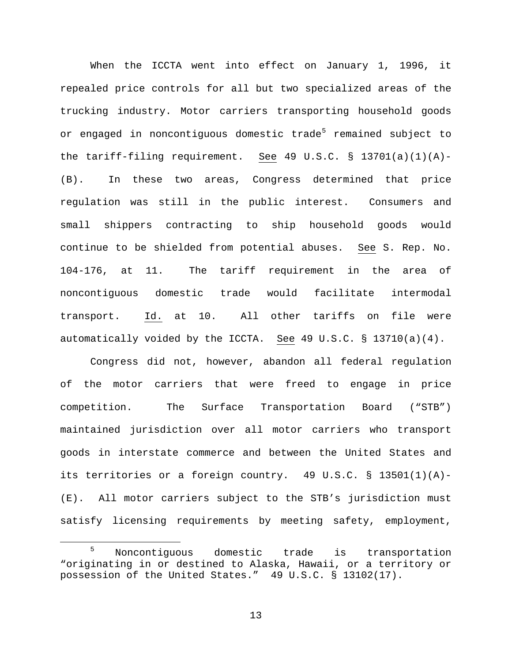When the ICCTA went into effect on January 1, 1996, it repealed price controls for all but two specialized areas of the trucking industry. Motor carriers transporting household goods or engaged in noncontiguous domestic trade<sup>[5](#page-12-0)</sup> remained subject to the tariff-filing requirement. See 49 U.S.C. § 13701(a)(1)(A)-(B). In these two areas, Congress determined that price regulation was still in the public interest. Consumers and small shippers contracting to ship household goods would continue to be shielded from potential abuses. See S. Rep. No. 104-176, at 11. The tariff requirement in the area of noncontiguous domestic trade would facilitate intermodal transport. Id. at 10. All other tariffs on file were automatically voided by the ICCTA. See 49 U.S.C. § 13710(a)(4).

Congress did not, however, abandon all federal regulation of the motor carriers that were freed to engage in price competition. The Surface Transportation Board ("STB") maintained jurisdiction over all motor carriers who transport goods in interstate commerce and between the United States and its territories or a foreign country. 49 U.S.C. § 13501(1)(A)- (E). All motor carriers subject to the STB's jurisdiction must satisfy licensing requirements by meeting safety, employment,

<span id="page-12-0"></span> <sup>5</sup> Noncontiguous domestic trade is transportation "originating in or destined to Alaska, Hawaii, or a territory or possession of the United States." 49 U.S.C. § 13102(17).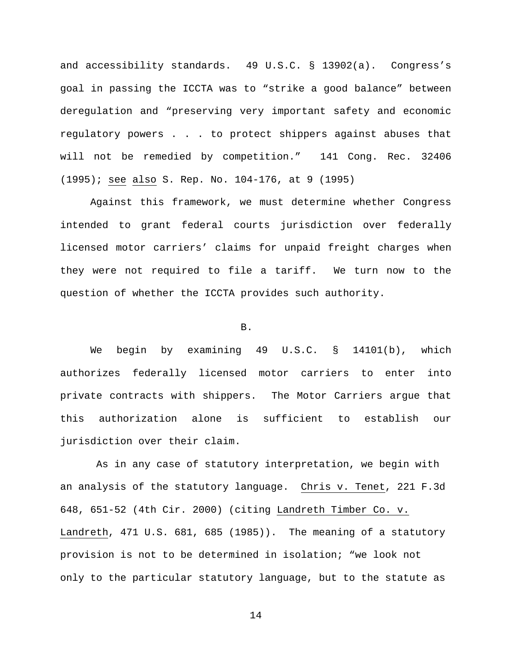and accessibility standards. 49 U.S.C. § 13902(a). Congress's goal in passing the ICCTA was to "strike a good balance" between deregulation and "preserving very important safety and economic regulatory powers . . . to protect shippers against abuses that will not be remedied by competition." 141 Cong. Rec. 32406 (1995); see also S. Rep. No. 104-176, at 9 (1995)

Against this framework, we must determine whether Congress intended to grant federal courts jurisdiction over federally licensed motor carriers' claims for unpaid freight charges when they were not required to file a tariff. We turn now to the question of whether the ICCTA provides such authority.

# B.

We begin by examining 49 U.S.C. § 14101(b), which authorizes federally licensed motor carriers to enter into private contracts with shippers. The Motor Carriers argue that this authorization alone is sufficient to establish our jurisdiction over their claim.

As in any case of statutory interpretation, we begin with an analysis of the statutory language. Chris v. Tenet, 221 F.3d 648, 651-52 (4th Cir. 2000) (citing Landreth Timber Co. v. Landreth, 471 U.S. 681, 685 (1985)). The meaning of a statutory provision is not to be determined in isolation; "we look not only to the particular statutory language, but to the statute as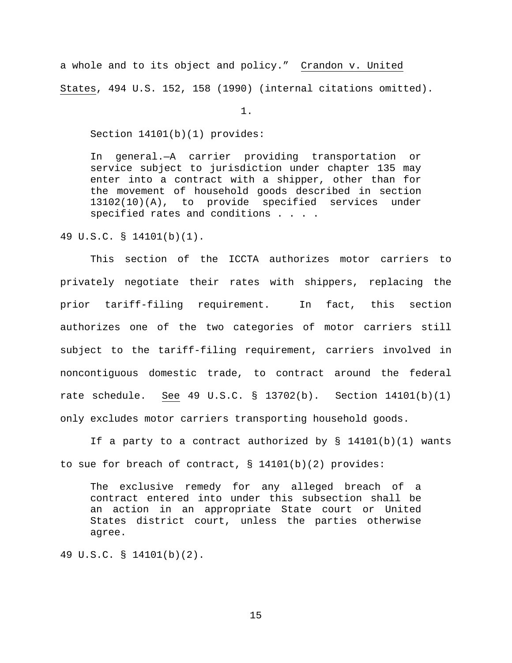a whole and to its object and policy." Crandon v. United States, 494 U.S. 152, 158 (1990) (internal citations omitted).

1.

Section 14101(b)(1) provides:

In general.—A carrier providing transportation or service subject to jurisdiction under chapter 135 may enter into a contract with a shipper, other than for the movement of household goods described in section 13102(10)(A), to provide specified services under specified rates and conditions . . . .

49 U.S.C. § 14101(b)(1).

This section of the ICCTA authorizes motor carriers to privately negotiate their rates with shippers, replacing the prior tariff-filing requirement. In fact, this section authorizes one of the two categories of motor carriers still subject to the tariff-filing requirement, carriers involved in noncontiguous domestic trade, to contract around the federal rate schedule. See 49 U.S.C. § 13702(b). Section 14101(b)(1) only excludes motor carriers transporting household goods.

If a party to a contract authorized by § 14101(b)(1) wants to sue for breach of contract,  $\S$  14101(b)(2) provides:

The exclusive remedy for any alleged breach of a contract entered into under this subsection shall be an action in an appropriate State court or United States district court, unless the parties otherwise agree.

49 U.S.C. § 14101(b)(2).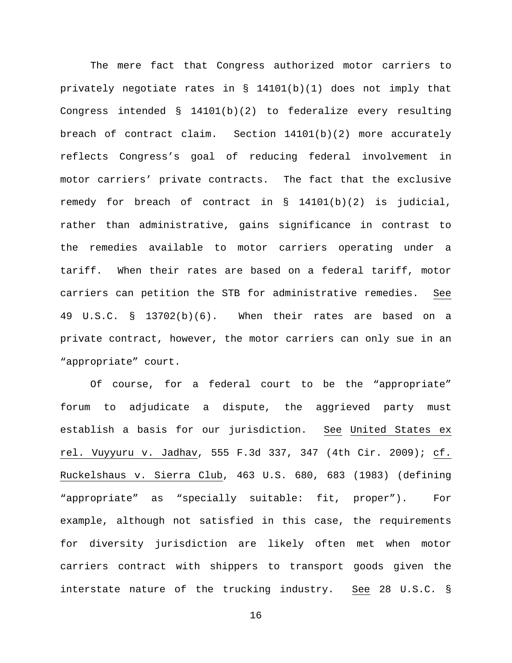The mere fact that Congress authorized motor carriers to privately negotiate rates in § 14101(b)(1) does not imply that Congress intended  $\S$  14101(b)(2) to federalize every resulting breach of contract claim. Section 14101(b)(2) more accurately reflects Congress's goal of reducing federal involvement in motor carriers' private contracts. The fact that the exclusive remedy for breach of contract in § 14101(b)(2) is judicial, rather than administrative, gains significance in contrast to the remedies available to motor carriers operating under a tariff. When their rates are based on a federal tariff, motor carriers can petition the STB for administrative remedies. See 49 U.S.C. § 13702(b)(6). When their rates are based on a private contract, however, the motor carriers can only sue in an "appropriate" court.

Of course, for a federal court to be the "appropriate" forum to adjudicate a dispute, the aggrieved party must establish a basis for our jurisdiction. See United States ex rel. Vuyyuru v. Jadhav, 555 F.3d 337, 347 (4th Cir. 2009); cf. Ruckelshaus v. Sierra Club, 463 U.S. 680, 683 (1983) (defining "appropriate" as "specially suitable: fit, proper"). For example, although not satisfied in this case, the requirements for diversity jurisdiction are likely often met when motor carriers contract with shippers to transport goods given the interstate nature of the trucking industry. See 28 U.S.C. §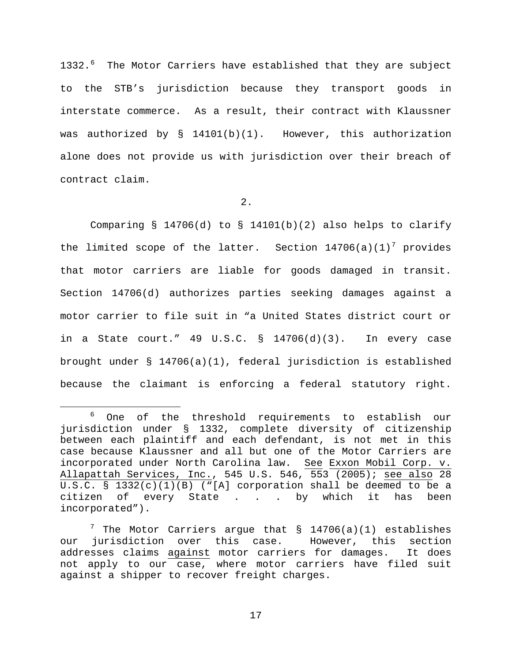1332.<sup>[6](#page-16-0)</sup> The Motor Carriers have established that they are subject to the STB's jurisdiction because they transport goods in interstate commerce. As a result, their contract with Klaussner was authorized by § 14101(b)(1). However, this authorization alone does not provide us with jurisdiction over their breach of contract claim.

# 2.

Comparing § 14706(d) to § 14101(b)(2) also helps to clarify the limited scope of the latter. Section  $14706(a)(1)^7$  $14706(a)(1)^7$  $14706(a)(1)^7$  provides that motor carriers are liable for goods damaged in transit. Section 14706(d) authorizes parties seeking damages against a motor carrier to file suit in "a United States district court or in a State court."  $49 \text{ U.S.C. }$   $\frac{14706(d)(3)}{120(d)(3)}$ . In every case brought under § 14706(a)(1), federal jurisdiction is established because the claimant is enforcing a federal statutory right.

<span id="page-16-0"></span> <sup>6</sup> One of the threshold requirements to establish our jurisdiction under § 1332, complete diversity of citizenship between each plaintiff and each defendant, is not met in this case because Klaussner and all but one of the Motor Carriers are incorporated under North Carolina law. See Exxon Mobil Corp. v. Allapattah Services, Inc., 545 U.S. 546, 553 (2005); see also 28 U.S.C. § 1332(c)(1)(B) ("[A] corporation shall be deemed to be a citizen of every State . . . by which it has been incorporated").

<span id="page-16-1"></span> $7$  The Motor Carriers argue that  $$ 14706(a)(1)$  establishes our jurisdiction over this case. However, this section<br>addresses claims against motor carriers for damages. It does addresses claims against motor carriers for damages. not apply to our case, where motor carriers have filed suit against a shipper to recover freight charges.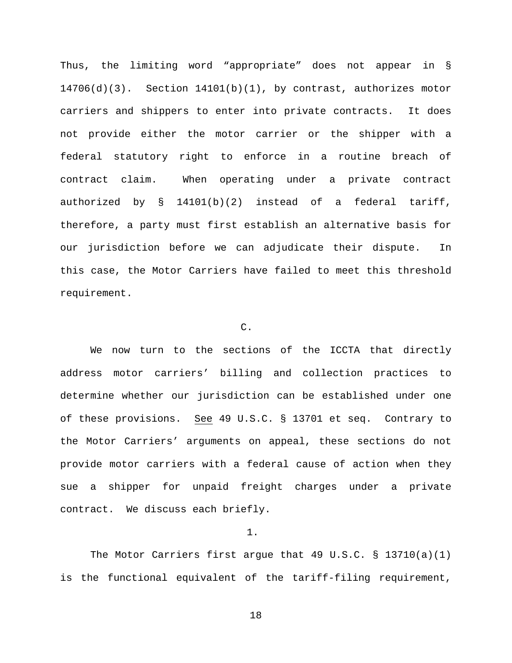Thus, the limiting word "appropriate" does not appear in § 14706(d)(3). Section 14101(b)(1), by contrast, authorizes motor carriers and shippers to enter into private contracts. It does not provide either the motor carrier or the shipper with a federal statutory right to enforce in a routine breach of contract claim. When operating under a private contract authorized by § 14101(b)(2) instead of a federal tariff, therefore, a party must first establish an alternative basis for our jurisdiction before we can adjudicate their dispute. In this case, the Motor Carriers have failed to meet this threshold requirement.

# C.

We now turn to the sections of the ICCTA that directly address motor carriers' billing and collection practices to determine whether our jurisdiction can be established under one of these provisions. See 49 U.S.C. § 13701 et seq. Contrary to the Motor Carriers' arguments on appeal, these sections do not provide motor carriers with a federal cause of action when they sue a shipper for unpaid freight charges under a private contract. We discuss each briefly.

1.

The Motor Carriers first argue that 49 U.S.C.  $\S$  13710(a)(1) is the functional equivalent of the tariff-filing requirement,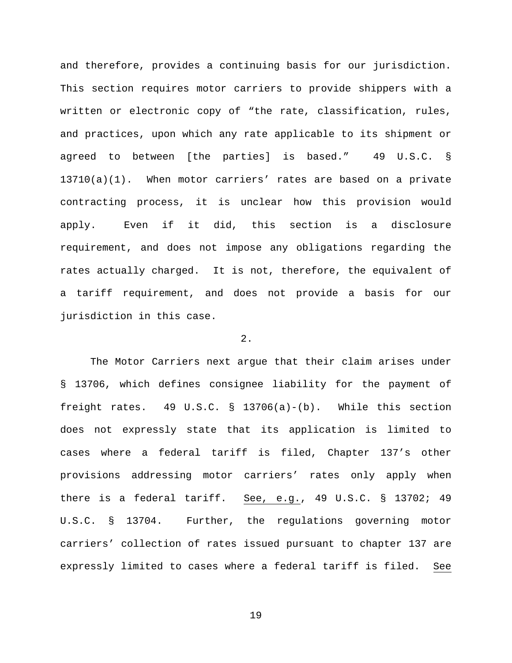and therefore, provides a continuing basis for our jurisdiction. This section requires motor carriers to provide shippers with a written or electronic copy of "the rate, classification, rules, and practices, upon which any rate applicable to its shipment or agreed to between [the parties] is based." 49 U.S.C. § 13710(a)(1). When motor carriers' rates are based on a private contracting process, it is unclear how this provision would apply. Even if it did, this section is a disclosure requirement, and does not impose any obligations regarding the rates actually charged. It is not, therefore, the equivalent of a tariff requirement, and does not provide a basis for our jurisdiction in this case.

# 2.

The Motor Carriers next argue that their claim arises under § 13706, which defines consignee liability for the payment of freight rates. 49 U.S.C. § 13706(a)-(b). While this section does not expressly state that its application is limited to cases where a federal tariff is filed, Chapter 137's other provisions addressing motor carriers' rates only apply when there is a federal tariff. See, e.g., 49 U.S.C. § 13702; 49 U.S.C. § 13704. Further, the regulations governing motor carriers' collection of rates issued pursuant to chapter 137 are expressly limited to cases where a federal tariff is filed. See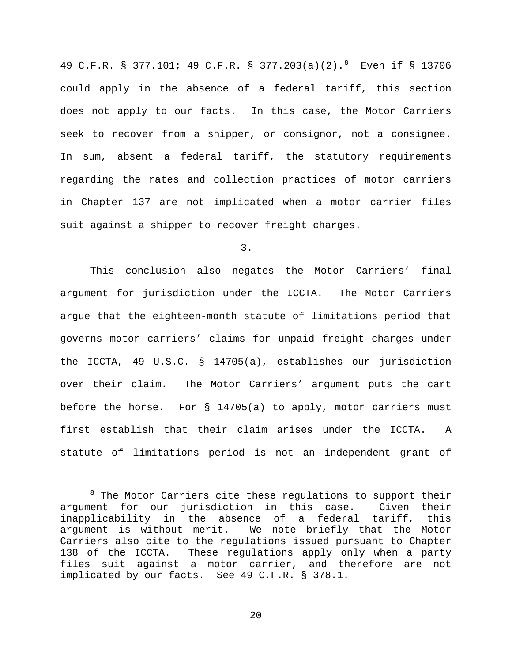49 C.F.R. § 377.101; 49 C.F.R. § 377.203(a)(2).[8](#page-19-0) Even if § 13706 could apply in the absence of a federal tariff, this section does not apply to our facts. In this case, the Motor Carriers seek to recover from a shipper, or consignor, not a consignee. In sum, absent a federal tariff, the statutory requirements regarding the rates and collection practices of motor carriers in Chapter 137 are not implicated when a motor carrier files suit against a shipper to recover freight charges.

3.

This conclusion also negates the Motor Carriers' final argument for jurisdiction under the ICCTA. The Motor Carriers argue that the eighteen-month statute of limitations period that governs motor carriers' claims for unpaid freight charges under the ICCTA, 49 U.S.C. § 14705(a), establishes our jurisdiction over their claim. The Motor Carriers' argument puts the cart before the horse. For § 14705(a) to apply, motor carriers must first establish that their claim arises under the ICCTA. A statute of limitations period is not an independent grant of

<span id="page-19-0"></span> $8$  The Motor Carriers cite these regulations to support their argument for our jurisdiction in this case. Given their inapplicability in the absence of a federal tariff, this We note briefly that the Motor Carriers also cite to the regulations issued pursuant to Chapter 138 of the ICCTA. These regulations apply only when a party files suit against a motor carrier, and therefore are not implicated by our facts. See 49 C.F.R. § 378.1.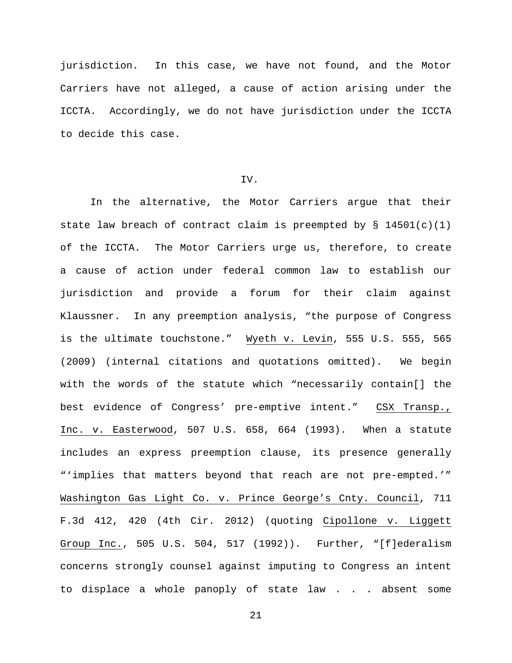jurisdiction. In this case, we have not found, and the Motor Carriers have not alleged, a cause of action arising under the ICCTA. Accordingly, we do not have jurisdiction under the ICCTA to decide this case.

### IV.

In the alternative, the Motor Carriers argue that their state law breach of contract claim is preempted by  $\S$  14501(c)(1) of the ICCTA. The Motor Carriers urge us, therefore, to create a cause of action under federal common law to establish our jurisdiction and provide a forum for their claim against Klaussner. In any preemption analysis, "the purpose of Congress is the ultimate touchstone." Wyeth v. Levin, 555 U.S. 555, 565 (2009) (internal citations and quotations omitted). We begin with the words of the statute which "necessarily contain[] the best evidence of Congress' pre-emptive intent." CSX Transp., Inc. v. Easterwood, 507 U.S. 658, 664 (1993). When a statute includes an express preemption clause, its presence generally "'implies that matters beyond that reach are not pre-empted.'" Washington Gas Light Co. v. Prince George's Cnty. Council, 711 F.3d 412, 420 (4th Cir. 2012) (quoting Cipollone v. Liggett Group Inc., 505 U.S. 504, 517 (1992)). Further, "[f]ederalism concerns strongly counsel against imputing to Congress an intent to displace a whole panoply of state law . . . absent some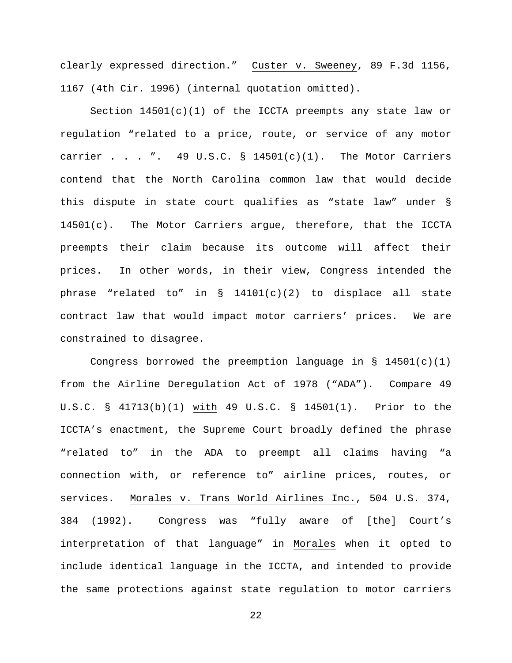clearly expressed direction." Custer v. Sweeney, 89 F.3d 1156, 1167 (4th Cir. 1996) (internal quotation omitted).

Section  $14501(c)(1)$  of the ICCTA preempts any state law or regulation "related to a price, route, or service of any motor carrier . . . ". 49 U.S.C.  $\S$  14501(c)(1). The Motor Carriers contend that the North Carolina common law that would decide this dispute in state court qualifies as "state law" under § 14501(c). The Motor Carriers argue, therefore, that the ICCTA preempts their claim because its outcome will affect their prices. In other words, in their view, Congress intended the phrase "related to" in  $\S$  14101(c)(2) to displace all state contract law that would impact motor carriers' prices. We are constrained to disagree.

Congress borrowed the preemption language in  $\S$  14501(c)(1) from the Airline Deregulation Act of 1978 ("ADA"). Compare 49 U.S.C. § 41713(b)(1) with 49 U.S.C. § 14501(1). Prior to the ICCTA's enactment, the Supreme Court broadly defined the phrase "related to" in the ADA to preempt all claims having "a connection with, or reference to" airline prices, routes, or services. Morales v. Trans World Airlines Inc., 504 U.S. 374, 384 (1992). Congress was "fully aware of [the] Court's interpretation of that language" in Morales when it opted to include identical language in the ICCTA, and intended to provide the same protections against state regulation to motor carriers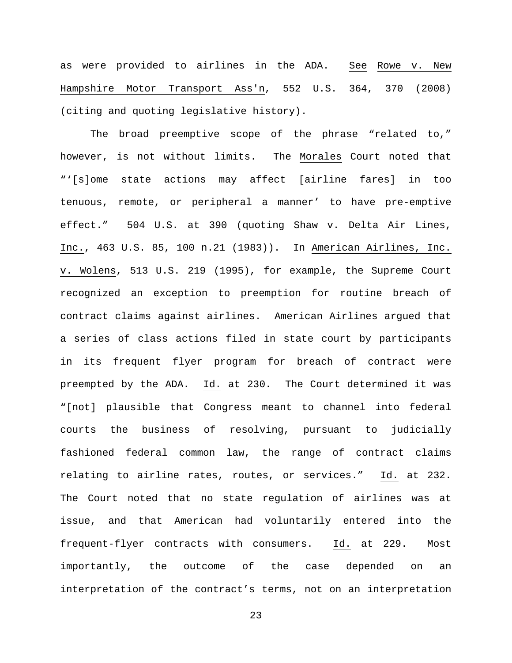as were provided to airlines in the ADA. See Rowe v. New Hampshire Motor Transport Ass'n, 552 U.S. 364, 370 (2008) (citing and quoting legislative history).

The broad preemptive scope of the phrase "related to," however, is not without limits. The Morales Court noted that "'[s]ome state actions may affect [airline fares] in too tenuous, remote, or peripheral a manner' to have pre-emptive effect." 504 U.S. at 390 (quoting Shaw v. Delta Air Lines, Inc., 463 U.S. 85, 100 n.21 (1983)). In American Airlines, Inc. v. Wolens, 513 U.S. 219 (1995), for example, the Supreme Court recognized an exception to preemption for routine breach of contract claims against airlines. American Airlines argued that a series of class actions filed in state court by participants in its frequent flyer program for breach of contract were preempted by the ADA. Id. at 230. The Court determined it was "[not] plausible that Congress meant to channel into federal courts the business of resolving, pursuant to judicially fashioned federal common law, the range of contract claims relating to airline rates, routes, or services." Id. at 232. The Court noted that no state regulation of airlines was at issue, and that American had voluntarily entered into the frequent-flyer contracts with consumers. Id. at 229. Most importantly, the outcome of the case depended on an interpretation of the contract's terms, not on an interpretation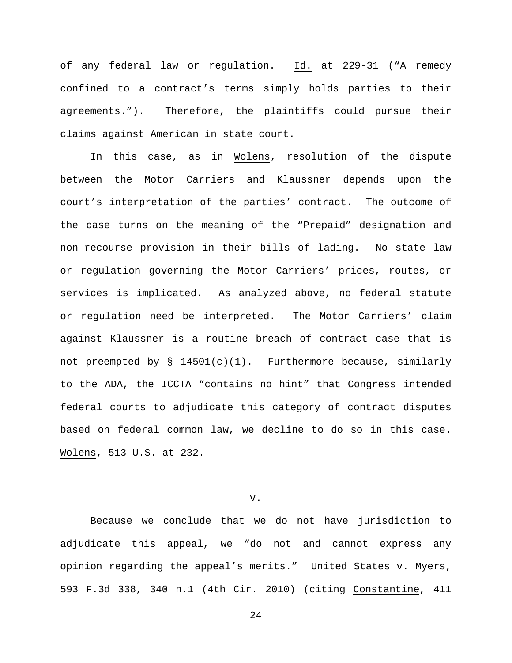of any federal law or regulation. Id. at 229-31 ("A remedy confined to a contract's terms simply holds parties to their agreements."). Therefore, the plaintiffs could pursue their claims against American in state court.

In this case, as in Wolens, resolution of the dispute between the Motor Carriers and Klaussner depends upon the court's interpretation of the parties' contract. The outcome of the case turns on the meaning of the "Prepaid" designation and non-recourse provision in their bills of lading. No state law or regulation governing the Motor Carriers' prices, routes, or services is implicated. As analyzed above, no federal statute or regulation need be interpreted. The Motor Carriers' claim against Klaussner is a routine breach of contract case that is not preempted by  $\S$  14501(c)(1). Furthermore because, similarly to the ADA, the ICCTA "contains no hint" that Congress intended federal courts to adjudicate this category of contract disputes based on federal common law, we decline to do so in this case. Wolens, 513 U.S. at 232.

V.

Because we conclude that we do not have jurisdiction to adjudicate this appeal, we "do not and cannot express any opinion regarding the appeal's merits." United States v. Myers, 593 F.3d 338, 340 n.1 (4th Cir. 2010) (citing Constantine, 411